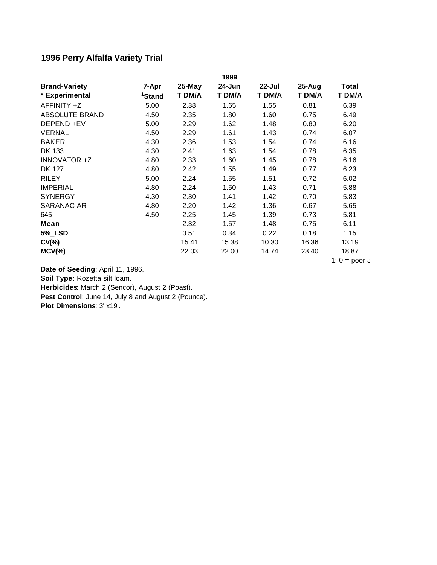## **1996 Perry Alfalfa Variety Trial**

|                       |                    |           | 1999   |           |        |                 |
|-----------------------|--------------------|-----------|--------|-----------|--------|-----------------|
| <b>Brand-Variety</b>  | 7-Apr              | $25$ -May | 24-Jun | $22$ -Jul | 25-Aug | Total           |
| * Experimental        | <sup>1</sup> Stand | T DM/A    | T DM/A | T DM/A    | T DM/A | T DM/A          |
| AFFINITY +Z           | 5.00               | 2.38      | 1.65   | 1.55      | 0.81   | 6.39            |
| <b>ABSOLUTE BRAND</b> | 4.50               | 2.35      | 1.80   | 1.60      | 0.75   | 6.49            |
| DEPEND +EV            | 5.00               | 2.29      | 1.62   | 1.48      | 0.80   | 6.20            |
| <b>VERNAL</b>         | 4.50               | 2.29      | 1.61   | 1.43      | 0.74   | 6.07            |
| <b>BAKER</b>          | 4.30               | 2.36      | 1.53   | 1.54      | 0.74   | 6.16            |
| DK 133                | 4.30               | 2.41      | 1.63   | 1.54      | 0.78   | 6.35            |
| <b>INNOVATOR +Z</b>   | 4.80               | 2.33      | 1.60   | 1.45      | 0.78   | 6.16            |
| <b>DK 127</b>         | 4.80               | 2.42      | 1.55   | 1.49      | 0.77   | 6.23            |
| <b>RILEY</b>          | 5.00               | 2.24      | 1.55   | 1.51      | 0.72   | 6.02            |
| <b>IMPERIAL</b>       | 4.80               | 2.24      | 1.50   | 1.43      | 0.71   | 5.88            |
| <b>SYNERGY</b>        | 4.30               | 2.30      | 1.41   | 1.42      | 0.70   | 5.83            |
| SARANAC AR            | 4.80               | 2.20      | 1.42   | 1.36      | 0.67   | 5.65            |
| 645                   | 4.50               | 2.25      | 1.45   | 1.39      | 0.73   | 5.81            |
| Mean                  |                    | 2.32      | 1.57   | 1.48      | 0.75   | 6.11            |
| <b>5%_LSD</b>         |                    | 0.51      | 0.34   | 0.22      | 0.18   | 1.15            |
| $CV(\% )$             |                    | 15.41     | 15.38  | 10.30     | 16.36  | 13.19           |
| $MCV(\%)$             |                    | 22.03     | 22.00  | 14.74     | 23.40  | 18.87           |
|                       |                    |           |        |           |        | 1: $0 =$ poor 5 |

**Date of Seeding**: April 11, 1996.

**Soil Type**: Rozetta silt loam.

**Herbicides**: March 2 (Sencor), August 2 (Poast).

Pest Control: June 14, July 8 and August 2 (Pounce).

**Plot Dimensions**: 3' x19'.